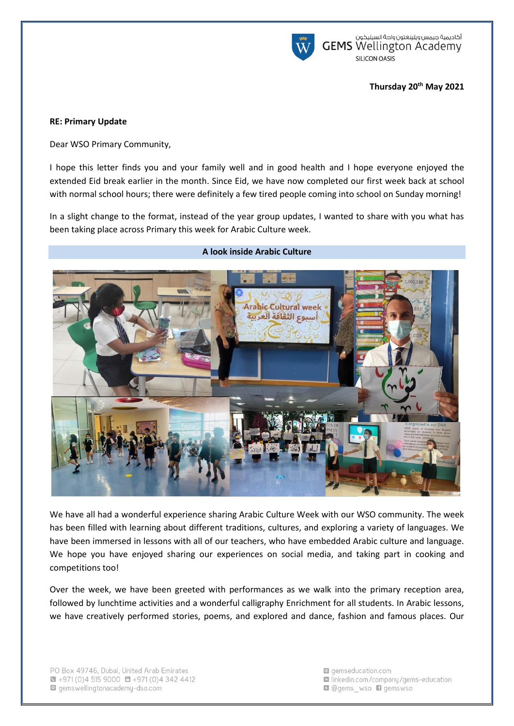

أكاديمية جيمس ويلينغتون واحة السيليكون<br>GEMS Wellington Academy **SILICON OASIS** 

### **Thursday 20th May 2021**

### **RE: Primary Update**

Dear WSO Primary Community,

I hope this letter finds you and your family well and in good health and I hope everyone enjoyed the extended Eid break earlier in the month. Since Eid, we have now completed our first week back at school with normal school hours; there were definitely a few tired people coming into school on Sunday morning!

In a slight change to the format, instead of the year group updates, I wanted to share with you what has been taking place across Primary this week for Arabic Culture week.



We have all had a wonderful experience sharing Arabic Culture Week with our WSO community. The week has been filled with learning about different traditions, cultures, and exploring a variety of languages. We have been immersed in lessons with all of our teachers, who have embedded Arabic culture and language. We hope you have enjoyed sharing our experiences on social media, and taking part in cooking and competitions too!

Over the week, we have been greeted with performances as we walk into the primary reception area, followed by lunchtime activities and a wonderful calligraphy Enrichment for all students. In Arabic lessons, we have creatively performed stories, poems, and explored and dance, fashion and famous places. Our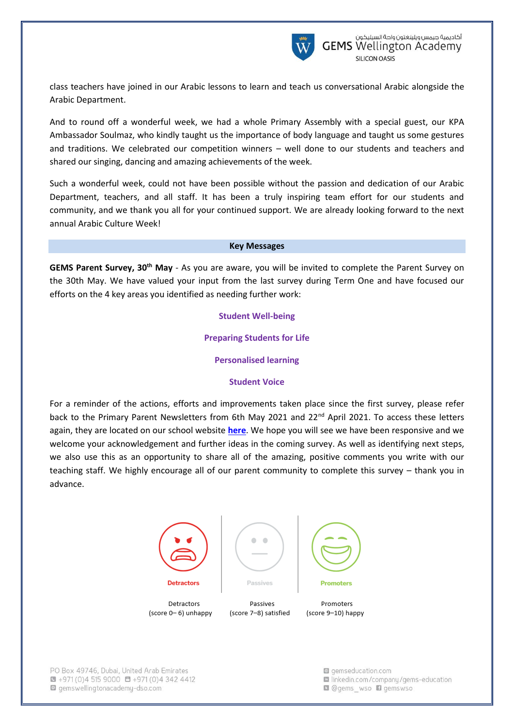

class teachers have joined in our Arabic lessons to learn and teach us conversational Arabic alongside the Arabic Department.

And to round off a wonderful week, we had a whole Primary Assembly with a special guest, our KPA Ambassador Soulmaz, who kindly taught us the importance of body language and taught us some gestures and traditions. We celebrated our competition winners – well done to our students and teachers and shared our singing, dancing and amazing achievements of the week.

Such a wonderful week, could not have been possible without the passion and dedication of our Arabic Department, teachers, and all staff. It has been a truly inspiring team effort for our students and community, and we thank you all for your continued support. We are already looking forward to the next annual Arabic Culture Week!

#### **Key Messages**

**GEMS Parent Survey, 30th May** - As you are aware, you will be invited to complete the Parent Survey on the 30th May. We have valued your input from the last survey during Term One and have focused our efforts on the 4 key areas you identified as needing further work:

## **Student Well-being**

### **Preparing Students for Life**

## **Personalised learning**

### **Student Voice**

For a reminder of the actions, efforts and improvements taken place since the first survey, please refer back to the Primary Parent Newsletters from 6th May 2021 and 22<sup>nd</sup> April 2021. To access these letters again, they are located on our school website **[here](https://www.gemswellingtonacademy-dso.com/For-Parents/Parent-Communication)**. We hope you will see we have been responsive and we welcome your acknowledgement and further ideas in the coming survey. As well as identifying next steps, we also use this as an opportunity to share all of the amazing, positive comments you write with our teaching staff. We highly encourage all of our parent community to complete this survey – thank you in advance.







PO Box 49746, Dubai, United Arab Emirates  $\bullet$  +971 (0)4 515 9000  $\bullet$  +971 (0)4 342 4412 gemswellingtonacademy-dso.com

(score 0-6) unhappy

gemseducation.com la linkedin.com/company/gems-education **Q** @gems wso **D** gemswso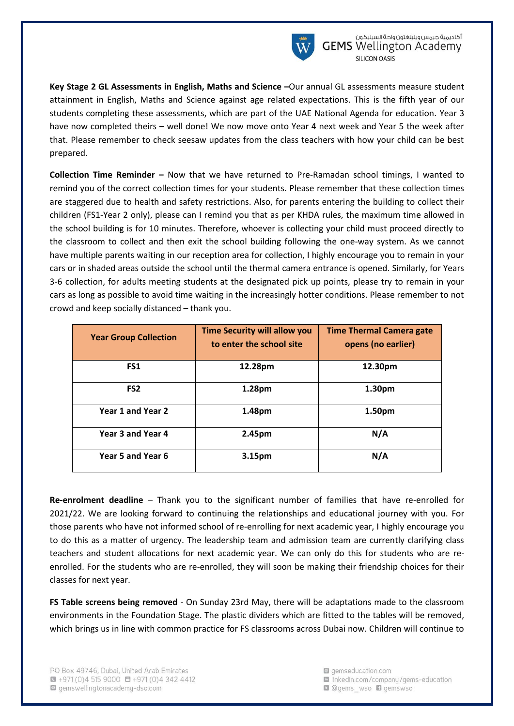

**Key Stage 2 GL Assessments in English, Maths and Science –**Our annual GL assessments measure student attainment in English, Maths and Science against age related expectations. This is the fifth year of our students completing these assessments, which are part of the UAE National Agenda for education. Year 3 have now completed theirs – well done! We now move onto Year 4 next week and Year 5 the week after that. Please remember to check seesaw updates from the class teachers with how your child can be best prepared.

**Collection Time Reminder –** Now that we have returned to Pre-Ramadan school timings, I wanted to remind you of the correct collection times for your students. Please remember that these collection times are staggered due to health and safety restrictions. Also, for parents entering the building to collect their children (FS1-Year 2 only), please can I remind you that as per KHDA rules, the maximum time allowed in the school building is for 10 minutes. Therefore, whoever is collecting your child must proceed directly to the classroom to collect and then exit the school building following the one-way system. As we cannot have multiple parents waiting in our reception area for collection, I highly encourage you to remain in your cars or in shaded areas outside the school until the thermal camera entrance is opened. Similarly, for Years 3-6 collection, for adults meeting students at the designated pick up points, please try to remain in your cars as long as possible to avoid time waiting in the increasingly hotter conditions. Please remember to not crowd and keep socially distanced – thank you.

| <b>Year Group Collection</b> | <b>Time Security will allow you</b><br>to enter the school site | <b>Time Thermal Camera gate</b><br>opens (no earlier) |
|------------------------------|-----------------------------------------------------------------|-------------------------------------------------------|
| FS1                          | 12.28pm                                                         | 12.30pm                                               |
| FS <sub>2</sub>              | 1.28pm                                                          | 1.30pm                                                |
| Year 1 and Year 2            | 1.48pm                                                          | 1.50pm                                                |
| Year 3 and Year 4            | 2.45pm                                                          | N/A                                                   |
| Year 5 and Year 6            | 3.15pm                                                          | N/A                                                   |

**Re-enrolment deadline** – Thank you to the significant number of families that have re-enrolled for 2021/22. We are looking forward to continuing the relationships and educational journey with you. For those parents who have not informed school of re-enrolling for next academic year, I highly encourage you to do this as a matter of urgency. The leadership team and admission team are currently clarifying class teachers and student allocations for next academic year. We can only do this for students who are reenrolled. For the students who are re-enrolled, they will soon be making their friendship choices for their classes for next year.

**FS Table screens being removed** - On Sunday 23rd May, there will be adaptations made to the classroom environments in the Foundation Stage. The plastic dividers which are fitted to the tables will be removed, which brings us in line with common practice for FS classrooms across Dubai now. Children will continue to